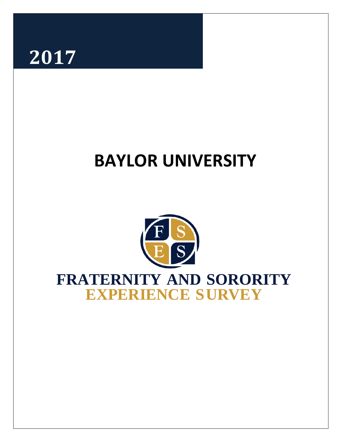

# **BAYLOR UNIVERSITY**



# **FRATERNITY AND SORORITY EXPERIENCE SURVEY**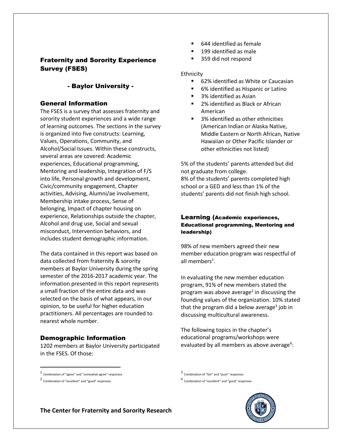# Fraternity and Sorority Experience Survey (FSES)

# - Baylor University -

### General Information

The FSES is a survey that assesses fraternity and sorority student experiences and a wide range of learning outcomes. The sections in the survey is organized into five constructs: Learning, Values, Operations, Community, and Alcohol/Social Issues. Within these constructs, several areas are covered: Academic experiences, Educational programming, Mentoring and leadership, Integration of F/S into life, Personal growth and development, Civic/community engagement, Chapter activities, Advising, Alumni/ae involvement, Membership intake process, Sense of belonging, Impact of chapter housing on experience, Relationships outside the chapter, Alcohol and drug use, Social and sexual misconduct, Intervention behaviors, and includes student demographic information.

The data contained in this report was based on data collected from fraternity & sorority members at Baylor University during the spring semester of the 2016-2017 academic year. The information presented in this report represents a small fraction of the entire data and was selected on the basis of what appears, in our opinion, to be useful for higher education practitioners. All percentages are rounded to nearest whole number.

## Demographic Information

1202 members at Baylor University participated in the FSES. Of those:

- 644 identified as female
- 199 identified as male
- 359 did not respond

#### Ethnicity

- 62% identified as White or Caucasian
- 6% identified as Hispanic or Latino
- 3% identified as Asian
- 2% identified as Black or African American
- 3% identified as other ethnicities (American Indian or Alaska Native, Middle Eastern or North African, Native Hawaiian or Other Pacific Islander or other ethnicities not listed)

5% of the students' parents attended but did not graduate from college. 8% of the students' parents completed high school or a GED and less than 1% of the students' parents did not finish high school.

# Learning (Academic experiences, Educational programming, Mentoring and leadership)

98% of new members agreed their new member education program was respectful of all members<sup>1</sup>.

In evaluating the new member education program, 91% of new members stated the program was above average<sup>2</sup> in discussing the founding values of the organization. 10% stated that the program did a below average<sup>3</sup> job in discussing multicultural awareness.

The following topics in the chapter's educational programs/workshops were evaluated by all members as above average<sup>4</sup>:

 $\overline{\phantom{a}}$ 

<sup>4</sup> Combination of "excellent" and "good" responses



**The Center for Fraternity and Sorority Research**

<sup>1</sup> Combination of "agree" and "somewhat agree" responses

<sup>2</sup> Combination of "excellent" and "good" responses

<sup>3</sup> Combination of "fair" and "poor" responses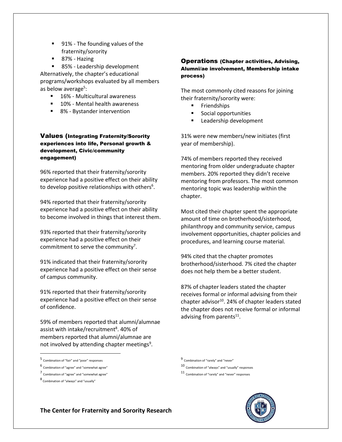- 91% The founding values of the fraternity/sorority
- 87% Hazing

■ 85% - Leadership development Alternatively, the chapter's educational programs/workshops evaluated by all members as below average<sup>5</sup>:

- 16% Multicultural awareness
- 10% Mental health awareness
- 8% Bystander intervention

#### Values (Integrating Fraternity/Sorority experiences into life, Personal growth & development, Civic/community engagement)

96% reported that their fraternity/sorority experience had a positive effect on their ability to develop positive relationships with others<sup>6</sup>.

94% reported that their fraternity/sorority experience had a positive effect on their ability to become involved in things that interest them.

93% reported that their fraternity/sorority experience had a positive effect on their commitment to serve the community<sup>7</sup>.

91% indicated that their fraternity/sorority experience had a positive effect on their sense of campus community.

91% reported that their fraternity/sorority experience had a positive effect on their sense of confidence.

59% of members reported that alumni/alumnae assist with intake/recruitment<sup>8</sup>. 40% of members reported that alumni/alumnae are not involved by attending chapter meetings<sup>9</sup>.

- 5 Combination of "fair" and "poor" responses
- 6 Combination of "agree" and "somewhat agree"
- 7 Combination of "agree" and "somewhat agree"

 $\overline{\phantom{a}}$ 

#### Operations (Chapter activities, Advising, Alumni/ae involvement, Membership intake process)

The most commonly cited reasons for joining their fraternity/sorority were:

- Friendships
- **Social opportunities**
- **Leadership development**

31% were new members/new initiates (first year of membership).

74% of members reported they received mentoring from older undergraduate chapter members. 20% reported they didn't receive mentoring from professors. The most common mentoring topic was leadership within the chapter.

Most cited their chapter spent the appropriate amount of time on brotherhood/sisterhood, philanthropy and community service, campus involvement opportunities, chapter policies and procedures, and learning course material.

94% cited that the chapter promotes brotherhood/sisterhood. 7% cited the chapter does not help them be a better student.

87% of chapter leaders stated the chapter receives formal or informal advising from their chapter advisor<sup>10</sup>. 24% of chapter leaders stated the chapter does not receive formal or informal advising from parents<sup>11</sup>.

<sup>11</sup> Combination of "rarely" and "never" responses



**The Center for Fraternity and Sorority Research**

<sup>8</sup> Combination of "always" and "usually"

<sup>9</sup> Combination of "rarely" and "never"

<sup>10</sup> Combination of "always" and "usually" responses